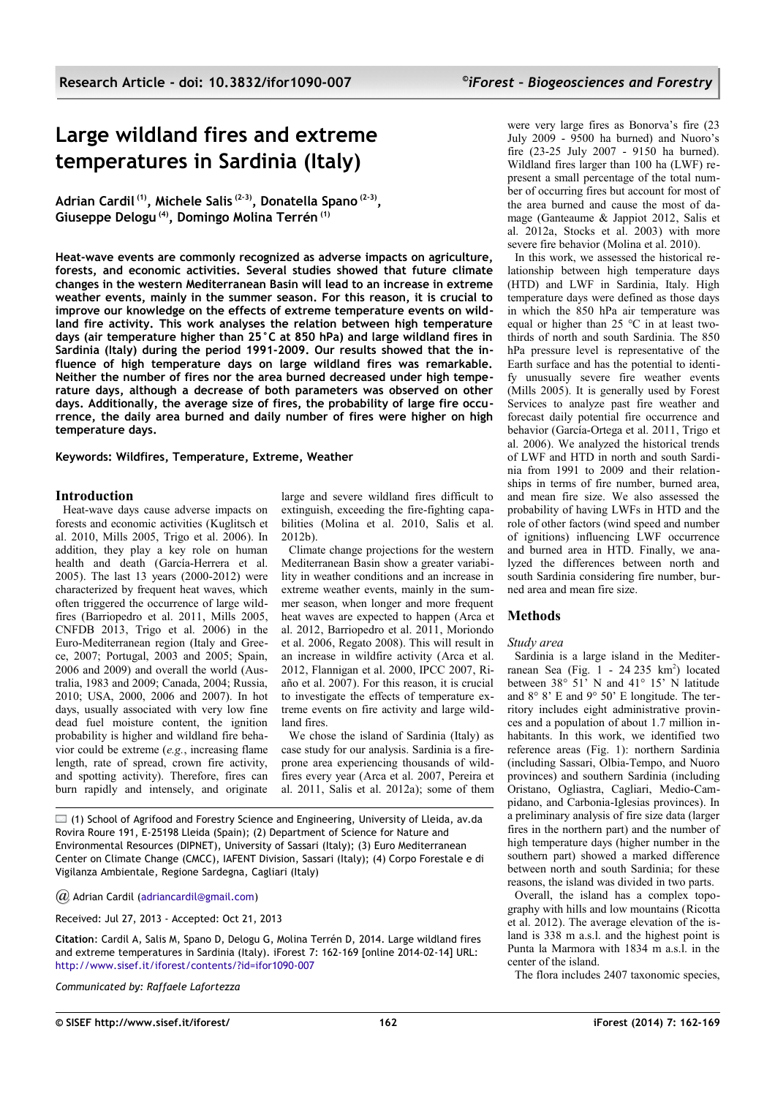# **Large wildland fires and extreme temperatures in Sardinia (Italy)**

**Adrian Cardil (1), Michele Salis (2-3), Donatella Spano (2-3) , Giuseppe Delogu (4), Domingo Molina Terrén (1)**

**Heat-wave events are commonly recognized as adverse impacts on agriculture, forests, and economic activities. Several studies showed that future climate changes in the western Mediterranean Basin will lead to an increase in extreme weather events, mainly in the summer season. For this reason, it is crucial to improve our knowledge on the effects of extreme temperature events on wildland fire activity. This work analyses the relation between high temperature days (air temperature higher than 25°C at 850 hPa) and large wildland fires in Sardinia (Italy) during the period 1991-2009. Our results showed that the influence of high temperature days on large wildland fires was remarkable. Neither the number of fires nor the area burned decreased under high temperature days, although a decrease of both parameters was observed on other days. Additionally, the average size of fires, the probability of large fire occurrence, the daily area burned and daily number of fires were higher on high temperature days.**

**Keywords: Wildfires, Temperature, Extreme, Weather**

#### **Introduction**

Heat-wave days cause adverse impacts on forests and economic activities (Kuglitsch et al. 2010, Mills 2005, Trigo et al. 2006). In addition, they play a key role on human health and death (García-Herrera et al. 2005). The last 13 years (2000-2012) were characterized by frequent heat waves, which often triggered the occurrence of large wildfires (Barriopedro et al. 2011, Mills 2005, CNFDB 2013, Trigo et al. 2006) in the Euro-Mediterranean region (Italy and Greece, 2007; Portugal, 2003 and 2005; Spain, 2006 and 2009) and overall the world (Australia, 1983 and 2009; Canada, 2004; Russia, 2010; USA, 2000, 2006 and 2007). In hot days, usually associated with very low fine dead fuel moisture content, the ignition probability is higher and wildland fire behavior could be extreme (*e.g.*, increasing flame length, rate of spread, crown fire activity, and spotting activity). Therefore, fires can burn rapidly and intensely, and originate

large and severe wildland fires difficult to extinguish, exceeding the fire-fighting capabilities (Molina et al. 2010, Salis et al. 2012b).

Climate change projections for the western Mediterranean Basin show a greater variability in weather conditions and an increase in extreme weather events, mainly in the summer season, when longer and more frequent heat waves are expected to happen (Arca et al. 2012, Barriopedro et al. 2011, Moriondo et al. 2006, Regato 2008). This will result in an increase in wildfire activity (Arca et al. 2012, Flannigan et al. 2000, IPCC 2007, Riaño et al. 2007). For this reason, it is crucial to investigate the effects of temperature extreme events on fire activity and large wildland fires.

We chose the island of Sardinia (Italy) as case study for our analysis. Sardinia is a fireprone area experiencing thousands of wildfires every year (Arca et al. 2007, Pereira et al. 2011, Salis et al. 2012a); some of them

 $\Box$  (1) School of Agrifood and Forestry Science and Engineering, University of Lleida, av.da Rovira Roure 191, E-25198 Lleida (Spain); (2) Department of Science for Nature and Environmental Resources (DIPNET), University of Sassari (Italy); (3) Euro Mediterranean Center on Climate Change (CMCC), IAFENT Division, Sassari (Italy); (4) Corpo Forestale e di Vigilanza Ambientale, Regione Sardegna, Cagliari (Italy)

*@* Adrian Cardil [\(adriancardil@gmail.com\)](mailto:)

Received: Jul 27, 2013 - Accepted: Oct 21, 2013

**Citation**: Cardil A, Salis M, Spano D, Delogu G, Molina Terrén D, 2014. Large wildland fires and extreme temperatures in Sardinia (Italy). iForest 7: 162-169 [online 2014-02-14] URL: <http://www.sisef.it/iforest/contents/?id=ifor1090-007>

*Communicated by: Raffaele Lafortezza*

were very large fires as Bonorva's fire (23 July 2009 - 9500 ha burned) and Nuoro's fire (23-25 July 2007 - 9150 ha burned). Wildland fires larger than 100 ha (LWF) represent a small percentage of the total number of occurring fires but account for most of the area burned and cause the most of damage (Ganteaume & Jappiot 2012, Salis et al. 2012a, Stocks et al. 2003) with more severe fire behavior (Molina et al. 2010).

In this work, we assessed the historical relationship between high temperature days (HTD) and LWF in Sardinia, Italy. High temperature days were defined as those days in which the 850 hPa air temperature was equal or higher than 25 °C in at least twothirds of north and south Sardinia. The 850 hPa pressure level is representative of the Earth surface and has the potential to identify unusually severe fire weather events (Mills 2005). It is generally used by Forest Services to analyze past fire weather and forecast daily potential fire occurrence and behavior (García-Ortega et al. 2011, Trigo et al. 2006). We analyzed the historical trends of LWF and HTD in north and south Sardinia from 1991 to 2009 and their relationships in terms of fire number, burned area, and mean fire size. We also assessed the probability of having LWFs in HTD and the role of other factors (wind speed and number of ignitions) influencing LWF occurrence and burned area in HTD. Finally, we analyzed the differences between north and south Sardinia considering fire number, burned area and mean fire size.

## **Methods**

#### *Study area*

Sardinia is a large island in the Mediterranean Sea (Fig.  $1 - 24235 \text{ km}^2$ ) located between 38° 51' N and 41° 15' N latitude and 8° 8' E and 9° 50' E longitude. The territory includes eight administrative provinces and a population of about 1.7 million inhabitants. In this work, we identified two reference areas [\(Fig. 1\)](#page-1-0): northern Sardinia (including Sassari, Olbia-Tempo, and Nuoro provinces) and southern Sardinia (including Oristano, Ogliastra, Cagliari, Medio-Campidano, and Carbonia-Iglesias provinces). In a preliminary analysis of fire size data (larger fires in the northern part) and the number of high temperature days (higher number in the southern part) showed a marked difference between north and south Sardinia; for these reasons, the island was divided in two parts.

Overall, the island has a complex topography with hills and low mountains (Ricotta et al. 2012). The average elevation of the island is 338 m a.s.l. and the highest point is Punta la Marmora with 1834 m a.s.l. in the center of the island.

The flora includes 2407 taxonomic species,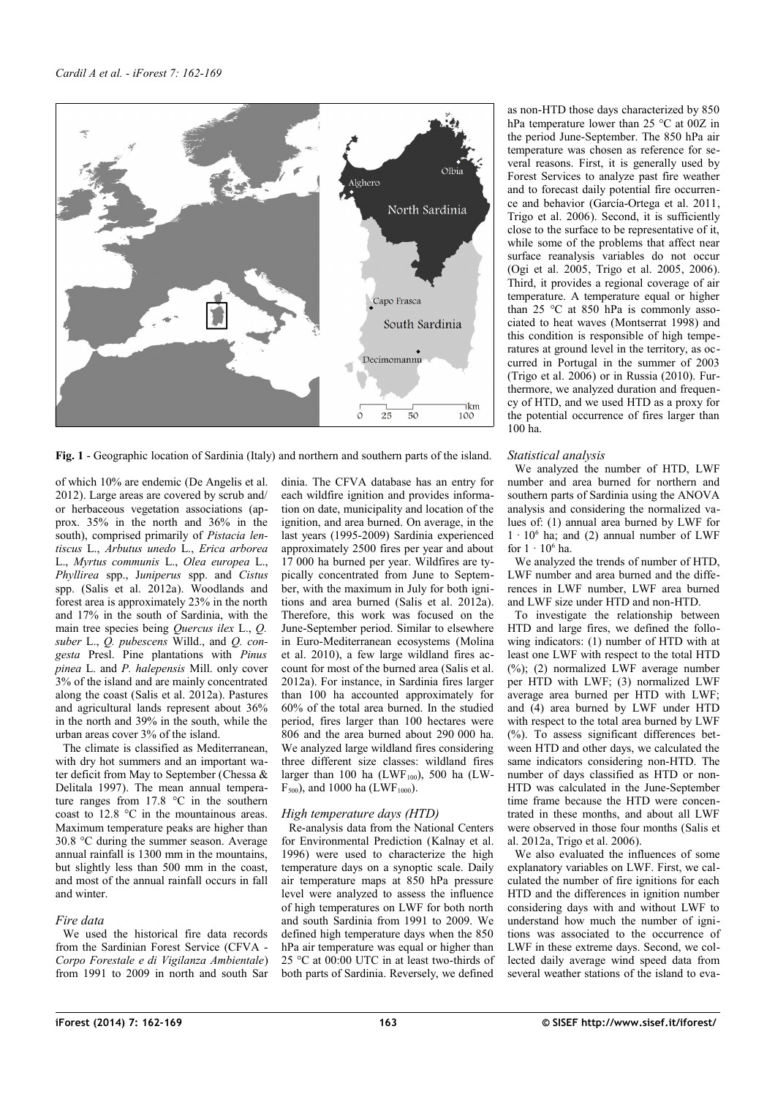

<span id="page-1-0"></span>**Fig. 1** - Geographic location of Sardinia (Italy) and northern and southern parts of the island.

of which 10% are endemic (De Angelis et al. 2012). Large areas are covered by scrub and/ or herbaceous vegetation associations (approx. 35% in the north and 36% in the south), comprised primarily of *Pistacia lentiscus* L., *Arbutus unedo* L., *Erica arborea* L., *Myrtus communis* L., *Olea europea* L., *Phyllirea* spp., J*uniperus* spp. and *Cistus* spp. (Salis et al. 2012a). Woodlands and forest area is approximately 23% in the north and 17% in the south of Sardinia, with the main tree species being *Quercus ilex* L., *Q. suber* L., *Q. pubescens* Willd., and *Q. congesta* Presl. Pine plantations with *Pinus pinea* L. and *P. halepensis* Mill. only cover 3% of the island and are mainly concentrated along the coast (Salis et al. 2012a). Pastures and agricultural lands represent about 36% in the north and 39% in the south, while the urban areas cover 3% of the island.

The climate is classified as Mediterranean, with dry hot summers and an important water deficit from May to September (Chessa & Delitala 1997). The mean annual temperature ranges from 17.8 °C in the southern coast to 12.8 °C in the mountainous areas. Maximum temperature peaks are higher than 30.8 °C during the summer season. Average annual rainfall is 1300 mm in the mountains, but slightly less than 500 mm in the coast, and most of the annual rainfall occurs in fall and winter.

## *Fire data*

We used the historical fire data records from the Sardinian Forest Service (CFVA - *Corpo Forestale e di Vigilanza Ambientale*) from 1991 to 2009 in north and south Sar dinia. The CFVA database has an entry for each wildfire ignition and provides information on date, municipality and location of the ignition, and area burned. On average, in the last years (1995-2009) Sardinia experienced approximately 2500 fires per year and about 17 000 ha burned per year. Wildfires are typically concentrated from June to September, with the maximum in July for both ignitions and area burned (Salis et al. 2012a). Therefore, this work was focused on the June-September period. Similar to elsewhere in Euro-Mediterranean ecosystems (Molina et al. 2010), a few large wildland fires account for most of the burned area (Salis et al. 2012a). For instance, in Sardinia fires larger than 100 ha accounted approximately for 60% of the total area burned. In the studied period, fires larger than 100 hectares were 806 and the area burned about 290 000 ha. We analyzed large wildland fires considering three different size classes: wildland fires larger than 100 ha  $(LWF<sub>100</sub>)$ , 500 ha  $(LW F_{500}$ ), and 1000 ha (LWF<sub>1000</sub>).

## *High temperature days (HTD)*

Re-analysis data from the National Centers for Environmental Prediction (Kalnay et al. 1996) were used to characterize the high temperature days on a synoptic scale. Daily air temperature maps at 850 hPa pressure level were analyzed to assess the influence of high temperatures on LWF for both north and south Sardinia from 1991 to 2009. We defined high temperature days when the 850 hPa air temperature was equal or higher than 25 °C at 00:00 UTC in at least two-thirds of both parts of Sardinia. Reversely, we defined

as non-HTD those days characterized by 850 hPa temperature lower than 25 °C at 00Z in the period June-September. The 850 hPa air temperature was chosen as reference for several reasons. First, it is generally used by Forest Services to analyze past fire weather and to forecast daily potential fire occurrence and behavior (García-Ortega et al. 2011, Trigo et al. 2006). Second, it is sufficiently close to the surface to be representative of it, while some of the problems that affect near surface reanalysis variables do not occur (Ogi et al. 2005, Trigo et al. 2005, 2006). Third, it provides a regional coverage of air temperature. A temperature equal or higher than 25 °C at 850 hPa is commonly associated to heat waves (Montserrat 1998) and this condition is responsible of high temperatures at ground level in the territory, as occurred in Portugal in the summer of 2003 (Trigo et al. 2006) or in Russia (2010). Furthermore, we analyzed duration and frequency of HTD, and we used HTD as a proxy for the potential occurrence of fires larger than  $100$  ha.

## *Statistical analysis*

We analyzed the number of HTD, LWF number and area burned for northern and southern parts of Sardinia using the ANOVA analysis and considering the normalized values of: (1) annual area burned by LWF for  $1 \cdot 10^6$  ha; and (2) annual number of LWF for  $1 \cdot 10^6$  ha.

We analyzed the trends of number of HTD, LWF number and area burned and the differences in LWF number, LWF area burned and LWF size under HTD and non-HTD.

To investigate the relationship between HTD and large fires, we defined the following indicators: (1) number of HTD with at least one LWF with respect to the total HTD (%); (2) normalized LWF average number per HTD with LWF; (3) normalized LWF average area burned per HTD with LWF; and (4) area burned by LWF under HTD with respect to the total area burned by LWF (%). To assess significant differences between HTD and other days, we calculated the same indicators considering non-HTD. The number of days classified as HTD or non-HTD was calculated in the June-September time frame because the HTD were concentrated in these months, and about all LWF were observed in those four months (Salis et al. 2012a, Trigo et al. 2006).

We also evaluated the influences of some explanatory variables on LWF. First, we calculated the number of fire ignitions for each HTD and the differences in ignition number considering days with and without LWF to understand how much the number of ignitions was associated to the occurrence of LWF in these extreme days. Second, we collected daily average wind speed data from several weather stations of the island to eva-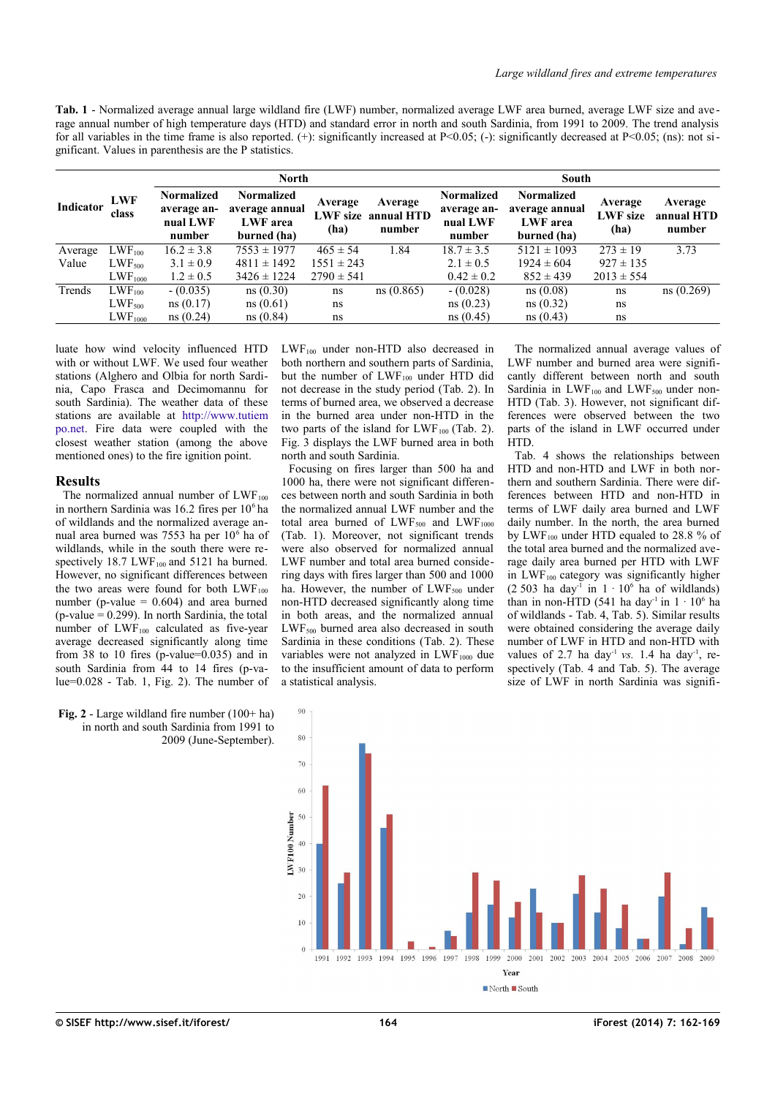<span id="page-2-0"></span>**Tab. 1** - Normalized average annual large wildland fire (LWF) number, normalized average LWF area burned, average LWF size and ave rage annual number of high temperature days (HTD) and standard error in north and south Sardinia, from 1991 to 2009. The trend analysis for all variables in the time frame is also reported. (+): significantly increased at P<0.05; (-): significantly decreased at P<0.05; (ns): not significant. Values in parenthesis are the P statistics.

|           |                     | <b>North</b>                                           |                                                         |                 |                                          | <b>South</b>                                           |                                                         |                                    |                                 |  |
|-----------|---------------------|--------------------------------------------------------|---------------------------------------------------------|-----------------|------------------------------------------|--------------------------------------------------------|---------------------------------------------------------|------------------------------------|---------------------------------|--|
| Indicator | <b>LWF</b><br>class | <b>Normalized</b><br>average an-<br>nual LWF<br>number | Normalized<br>average annual<br>LWF area<br>burned (ha) | Average<br>(ha) | Average<br>LWF size annual HTD<br>number | <b>Normalized</b><br>average an-<br>nual LWF<br>number | Normalized<br>average annual<br>LWF area<br>burned (ha) | Average<br><b>LWF</b> size<br>(ha) | Average<br>annual HTD<br>number |  |
| Average   | LWF <sub>100</sub>  | $16.2 \pm 3.8$                                         | $7553 \pm 1977$                                         | $465 \pm 54$    | 1.84                                     | $18.7 \pm 3.5$                                         | $5121 \pm 1093$                                         | $273 \pm 19$                       | 3.73                            |  |
| Value     | LWF <sub>500</sub>  | $3.1 \pm 0.9$                                          | $4811 \pm 1492$                                         | $1551 \pm 243$  |                                          | $2.1 \pm 0.5$                                          | $1924 \pm 604$                                          | $927 \pm 135$                      |                                 |  |
|           | LWF <sub>1000</sub> | $1.2 \pm 0.5$                                          | $3426 \pm 1224$                                         | $2790 \pm 541$  |                                          | $0.42 \pm 0.2$                                         | $852 \pm 439$                                           | $2013 \pm 554$                     |                                 |  |
| Trends    | LWF <sub>100</sub>  | $-(0.035)$                                             | ns(0.30)                                                | ns              | ns(0.865)                                | $-(0.028)$                                             | ns(0.08)                                                | ns                                 | ns(0.269)                       |  |
|           | LWF <sub>500</sub>  | ns(0.17)                                               | ns(0.61)                                                | ns              |                                          | ns(0.23)                                               | ns(0.32)                                                | ns                                 |                                 |  |
|           | LWF <sub>1000</sub> | ns(0.24)                                               | ns(0.84)                                                | ns              |                                          | ns(0.45)                                               | ns(0.43)                                                | ns                                 |                                 |  |

luate how wind velocity influenced HTD with or without LWF. We used four weather stations (Alghero and Olbia for north Sardinia, Capo Frasca and Decimomannu for south Sardinia). The weather data of these stations are available at [http://www.tutiem](http://www.tutiempo.net/) [po.net.](http://www.tutiempo.net/) Fire data were coupled with the closest weather station (among the above mentioned ones) to the fire ignition point.

#### **Results**

The normalized annual number of  $LWF_{100}$ in northern Sardinia was  $16.2$  fires per  $10<sup>6</sup>$ ha of wildlands and the normalized average annual area burned was 7553 ha per 10<sup>6</sup> ha of wildlands, while in the south there were respectively 18.7 LWF $_{100}$  and 5121 ha burned. However, no significant differences between the two areas were found for both  $LWF_{100}$ number (p-value  $= 0.604$ ) and area burned ( $p$ -value  $= 0.299$ ). In north Sardinia, the total number of LWF100 calculated as five-year average decreased significantly along time from 38 to 10 fires (p-value= $0.035$ ) and in south Sardinia from 44 to 14 fires (p-value=0.028 - [Tab. 1,](#page-2-0) [Fig. 2\)](#page-2-1). The number of LWF<sub>100</sub> under non-HTD also decreased in both northern and southern parts of Sardinia, but the number of LWF<sub>100</sub> under HTD did not decrease in the study period [\(Tab. 2\)](#page-3-1). In terms of burned area, we observed a decrease in the burned area under non-HTD in the two parts of the island for  $LWF_{100}$  [\(Tab. 2\)](#page-3-1). [Fig. 3](#page-3-2) displays the LWF burned area in both north and south Sardinia.

Focusing on fires larger than 500 ha and 1000 ha, there were not significant differences between north and south Sardinia in both the normalized annual LWF number and the total area burned of  $LWF<sub>500</sub>$  and  $LWF<sub>1000</sub>$ [\(Tab. 1\)](#page-2-0). Moreover, not significant trends were also observed for normalized annual LWF number and total area burned considering days with fires larger than 500 and 1000 ha. However, the number of  $LWF<sub>500</sub>$  under non-HTD decreased significantly along time in both areas, and the normalized annual LWF500 burned area also decreased in south Sardinia in these conditions [\(Tab. 2\)](#page-3-1). These variables were not analyzed in  $LWF<sub>1000</sub>$  due to the insufficient amount of data to perform a statistical analysis.

The normalized annual average values of LWF number and burned area were significantly different between north and south Sardinia in  $LWF<sub>100</sub>$  and  $LWF<sub>500</sub>$  under non-HTD [\(Tab. 3\)](#page-3-0). However, not significant differences were observed between the two parts of the island in LWF occurred under **HTD** 

[Tab. 4](#page-4-1) shows the relationships between HTD and non-HTD and LWF in both northern and southern Sardinia. There were differences between HTD and non-HTD in terms of LWF daily area burned and LWF daily number. In the north, the area burned by LWF100 under HTD equaled to 28.8 % of the total area burned and the normalized average daily area burned per HTD with LWF in LWF100 category was significantly higher  $(2.503$  ha day<sup>-1</sup> in  $1 \cdot 10^6$  ha of wildlands) than in non-HTD  $(541$  ha day<sup>-1</sup> in  $1 \cdot 10^6$  ha of wildlands - [Tab. 4,](#page-4-1) [Tab. 5\)](#page-4-0). Similar results were obtained considering the average daily number of LWF in HTD and non-HTD with values of 2.7 ha day<sup>-1</sup> *vs.* 1.4 ha day<sup>-1</sup>, respectively [\(Tab. 4](#page-4-1) and [Tab. 5\)](#page-4-0). The average size of LWF in north Sardinia was signifi-



<span id="page-2-1"></span>**Fig. 2** - Large wildland fire number (100+ ha) in north and south Sardinia from 1991 to 2009 (June-September).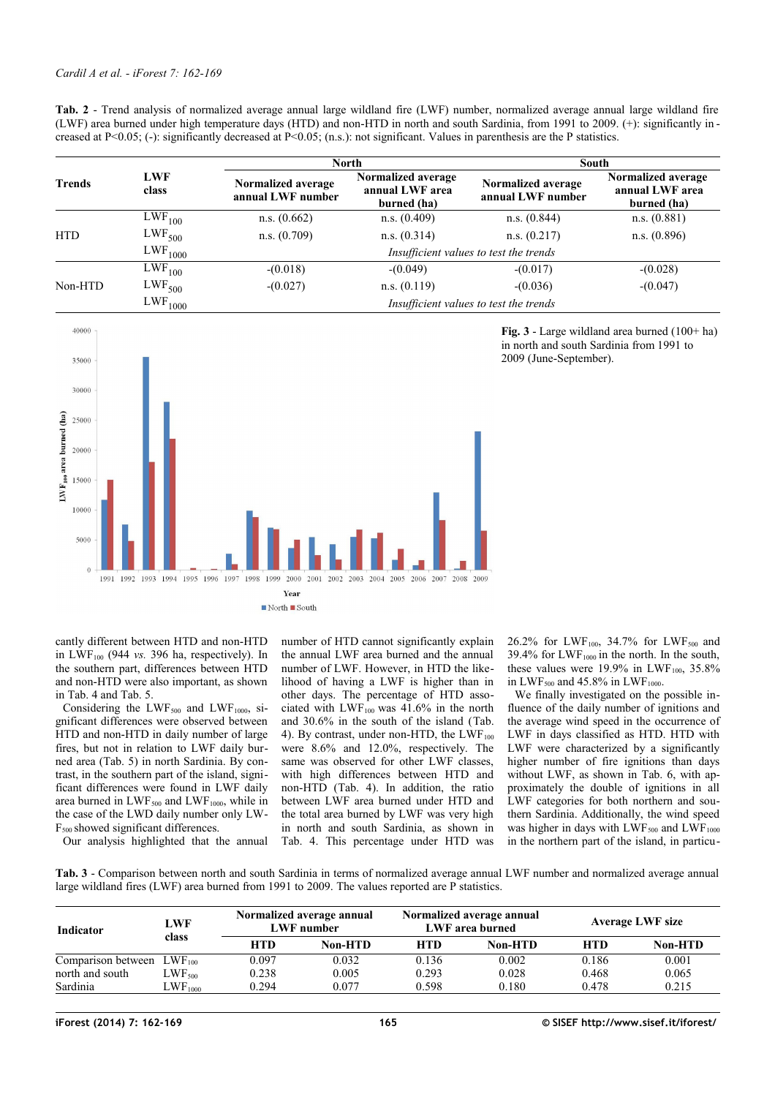<span id="page-3-1"></span>

| Tab. 2 - Trend analysis of normalized average annual large wildland fire (LWF) number, normalized average annual large wildland fire          |  |
|-----------------------------------------------------------------------------------------------------------------------------------------------|--|
| (LWF) area burned under high temperature days (HTD) and non-HTD in north and south Sardinia, from 1991 to 2009. (+): significantly in -       |  |
| creased at $P \le 0.05$ ; (-): significantly decreased at $P \le 0.05$ ; (n.s.): not significant. Values in parenthesis are the P statistics. |  |

|               |                           |                                         | <b>North</b>                                         | <b>South</b>                            |                                                      |  |  |
|---------------|---------------------------|-----------------------------------------|------------------------------------------------------|-----------------------------------------|------------------------------------------------------|--|--|
| <b>Trends</b> | LWF<br>class              | Normalized average<br>annual LWF number | Normalized average<br>annual LWF area<br>burned (ha) | Normalized average<br>annual LWF number | Normalized average<br>annual LWF area<br>burned (ha) |  |  |
|               | $LWF_{100}$               | n.s. (0.662)                            | n.s. (0.409)                                         | n.s. (0.844)                            | n.s. (0.881)                                         |  |  |
| <b>HTD</b>    | $LWF_{500}$               | n.s. (0.709)                            | n.s. (0.314)                                         | n.s. (0.217)                            | n.s. (0.896)                                         |  |  |
|               | $LWF_{1000}$              |                                         |                                                      | Insufficient values to test the trends  |                                                      |  |  |
|               | $LWF_{100}$               | $-(0.018)$                              | $-(0.049)$                                           | $-(0.017)$                              | $-(0.028)$                                           |  |  |
| Non-HTD       | $LWF_{500}$<br>$-(0.027)$ |                                         | n.s. (0.119)                                         | $-(0.036)$                              | $-(0.047)$                                           |  |  |
|               | $LWF_{1000}$              |                                         |                                                      | Insufficient values to test the trends  |                                                      |  |  |



<span id="page-3-2"></span>**Fig. 3** - Large wildland area burned (100+ ha) in north and south Sardinia from 1991 to 2009 (June-September).

cantly different between HTD and non-HTD in LWF<sub>100</sub> (944 *vs.* 396 ha, respectively). In the southern part, differences between HTD and non-HTD were also important, as shown in [Tab. 4](#page-4-1) and [Tab. 5.](#page-4-0)

Considering the  $LWF<sub>500</sub>$  and  $LWF<sub>1000</sub>$ , significant differences were observed between HTD and non-HTD in daily number of large fires, but not in relation to LWF daily burned area [\(Tab. 5\)](#page-4-0) in north Sardinia. By contrast, in the southern part of the island, significant differences were found in LWF daily area burned in  $LWF<sub>500</sub>$  and  $LWF<sub>1000</sub>$ , while in the case of the LWD daily number only LW-F500 showed significant differences.

Our analysis highlighted that the annual

number of HTD cannot significantly explain the annual LWF area burned and the annual number of LWF. However, in HTD the likelihood of having a LWF is higher than in other days. The percentage of HTD associated with  $LWF<sub>100</sub>$  was 41.6% in the north and 30.6% in the south of the island [\(Tab.](#page-4-1) [4\)](#page-4-1). By contrast, under non-HTD, the  $LWF<sub>100</sub>$ were 8.6% and 12.0%, respectively. The same was observed for other LWF classes, with high differences between HTD and non-HTD [\(Tab. 4\)](#page-4-1). In addition, the ratio between LWF area burned under HTD and the total area burned by LWF was very high in north and south Sardinia, as shown in [Tab. 4.](#page-4-1) This percentage under HTD was

26.2% for LWF100, 34.7% for LWF500 and 39.4% for  $LWF<sub>1000</sub>$  in the north. In the south, these values were  $19.9\%$  in LWF<sub>100</sub>,  $35.8\%$ in LWF<sub>500</sub> and  $45.8\%$  in LWF<sub>1000</sub>.

We finally investigated on the possible influence of the daily number of ignitions and the average wind speed in the occurrence of LWF in days classified as HTD. HTD with LWF were characterized by a significantly higher number of fire ignitions than days without LWF, as shown in [Tab. 6,](#page-4-2) with approximately the double of ignitions in all LWF categories for both northern and southern Sardinia. Additionally, the wind speed was higher in days with  $LWF<sub>500</sub>$  and  $LWF<sub>1000</sub>$ in the northern part of the island, in particu-

<span id="page-3-0"></span>**Tab. 3** - Comparison between north and south Sardinia in terms of normalized average annual LWF number and normalized average annual large wildland fires (LWF) area burned from 1991 to 2009. The values reported are P statistics.

| LWF<br>class                   | Normalized average annual<br>LWF number<br>LWF area burned |         |            | <b>Average LWF size</b> |                           |         |
|--------------------------------|------------------------------------------------------------|---------|------------|-------------------------|---------------------------|---------|
|                                | <b>HTD</b>                                                 | Non-HTD | <b>HTD</b> | Non-HTD                 | <b>HTD</b>                | Non-HTD |
| Comparison between $LWF_{100}$ | 0.097                                                      | 0.032   | 0.136      | 0.002                   | 0.186                     | 0.001   |
| $LWF_{500}$                    | 0.238                                                      | 0.005   | 0.293      | 0.028                   | 0.468                     | 0.065   |
| $\text{LWF}_{1000}$            | 0.294                                                      | 0.077   | 0.598      | 0.180                   | 0.478                     | 0.215   |
|                                |                                                            |         |            |                         | Normalized average annual |         |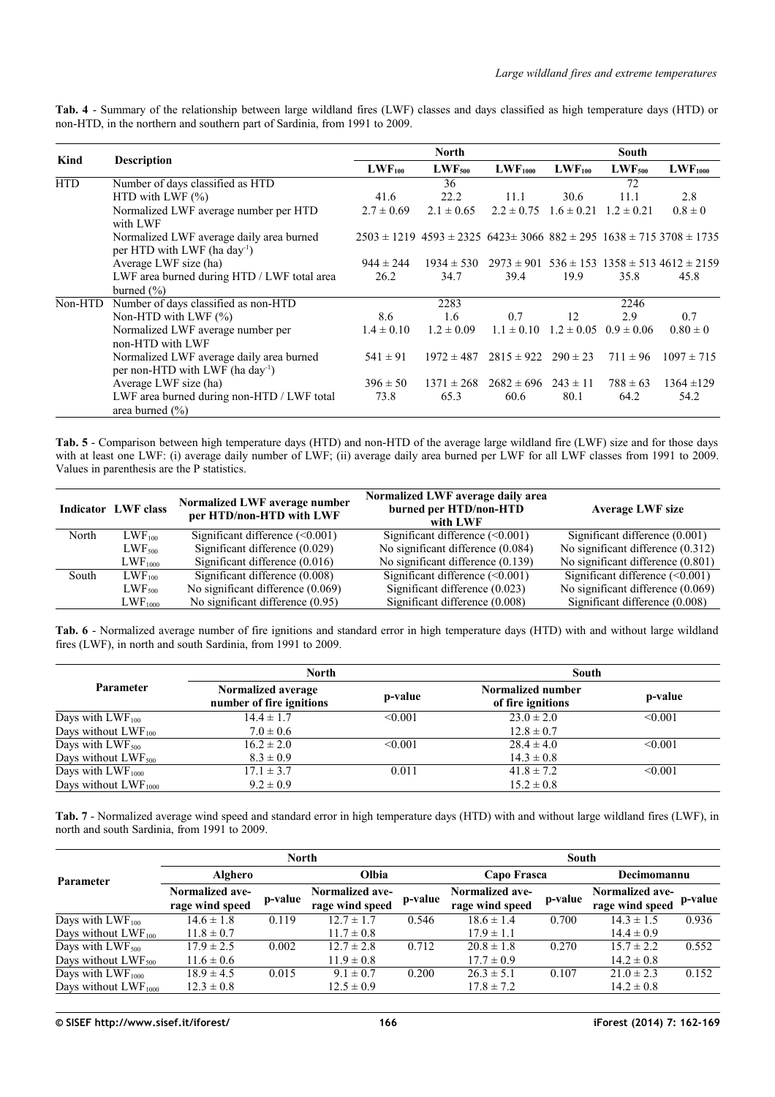<span id="page-4-1"></span>**Tab. 4** - Summary of the relationship between large wildland fires (LWF) classes and days classified as high temperature days (HTD) or non-HTD, in the northern and southern part of Sardinia, from 1991 to 2009.

|            |                                                                                          |                    | <b>North</b>                                                                                 |                     |                    | South          |                                                             |  |
|------------|------------------------------------------------------------------------------------------|--------------------|----------------------------------------------------------------------------------------------|---------------------|--------------------|----------------|-------------------------------------------------------------|--|
| Kind       | <b>Description</b>                                                                       | LWF <sub>100</sub> | LWF <sub>500</sub>                                                                           | LWF <sub>1000</sub> | LWF <sub>100</sub> | $LWF_{500}$    | LWF <sub>1000</sub>                                         |  |
| <b>HTD</b> | Number of days classified as HTD                                                         |                    | 36                                                                                           |                     |                    | 72             |                                                             |  |
|            | HTD with LWF $(\% )$                                                                     | 41.6               | 22.2                                                                                         | 11.1                | 30.6               | 11.1           | 2.8                                                         |  |
|            | Normalized LWF average number per HTD<br>with LWF                                        | $2.7 \pm 0.69$     | $2.1 \pm 0.65$                                                                               | $2.2 \pm 0.75$      | $1.6 \pm 0.21$     | $1.2 \pm 0.21$ | $0.8 \pm 0$                                                 |  |
|            | Normalized LWF average daily area burned<br>per HTD with LWF (ha day <sup>-1</sup> )     |                    | $2503 \pm 1219$ $4593 \pm 2325$ $6423 \pm 3066$ $882 \pm 295$ $1638 \pm 715$ $3708 \pm 1735$ |                     |                    |                |                                                             |  |
|            | Average LWF size (ha)                                                                    | $944 \pm 244$      | $1934 \pm 530$                                                                               |                     |                    |                | $2973 \pm 901$ 536 $\pm$ 153 1358 $\pm$ 513 4612 $\pm$ 2159 |  |
|            | LWF area burned during HTD / LWF total area                                              | 26.2               | 34.7                                                                                         | 39.4                | 19.9               | 35.8           | 45.8                                                        |  |
|            | burned $(\% )$                                                                           |                    |                                                                                              |                     |                    |                |                                                             |  |
| Non-HTD    | Number of days classified as non-HTD                                                     |                    | 2283                                                                                         |                     |                    | 2246           |                                                             |  |
|            | Non-HTD with LWF $(\% )$                                                                 | 8.6                | 1.6                                                                                          | 0.7                 | 12                 | 2.9            | 0.7                                                         |  |
|            | Normalized LWF average number per<br>non-HTD with LWF                                    | $1.4 \pm 0.10$     | $1.2 \pm 0.09$                                                                               | $1.1 \pm 0.10$      | $1.2 \pm 0.05$     | $0.9 \pm 0.06$ | $0.80 \pm 0$                                                |  |
|            | Normalized LWF average daily area burned<br>per non-HTD with LWF (ha day <sup>-1</sup> ) | $541 \pm 91$       | $1972 \pm 487$                                                                               | $2815 \pm 922$      | $290 \pm 23$       | $711 \pm 96$   | $1097 \pm 715$                                              |  |
|            | Average LWF size (ha)                                                                    | $396 \pm 50$       | $1371 \pm 268$                                                                               | $2682 \pm 696$      | $243 \pm 11$       | $788 \pm 63$   | $1364 \pm 129$                                              |  |
|            | LWF area burned during non-HTD / LWF total<br>area burned $(\% )$                        | 73.8               | 65.3                                                                                         | 60.6                | 80.1               | 64.2           | 54.2                                                        |  |

<span id="page-4-0"></span>**Tab. 5** - Comparison between high temperature days (HTD) and non-HTD of the average large wildland fire (LWF) size and for those days with at least one LWF: (i) average daily number of LWF; (ii) average daily area burned per LWF for all LWF classes from 1991 to 2009. Values in parenthesis are the P statistics.

|       | Indicator LWF class | Normalized LWF average number<br>per HTD/non-HTD with LWF | Normalized LWF average daily area<br>burned per HTD/non-HTD<br>with LWF | <b>Average LWF size</b>               |
|-------|---------------------|-----------------------------------------------------------|-------------------------------------------------------------------------|---------------------------------------|
| North | LWF <sub>100</sub>  | Significant difference $(\leq 0.001)$                     | Significant difference $(\leq 0.001)$                                   | Significant difference $(0.001)$      |
|       | LWF <sub>500</sub>  | Significant difference (0.029)                            | No significant difference (0.084)                                       | No significant difference $(0.312)$   |
|       | LWF <sub>1000</sub> | Significant difference $(0.016)$                          | No significant difference (0.139)                                       | No significant difference (0.801)     |
| South | LWF <sub>100</sub>  | Significant difference (0.008)                            | Significant difference $(\leq 0.001)$                                   | Significant difference $(\leq 0.001)$ |
|       | LWF <sub>500</sub>  | No significant difference $(0.069)$                       | Significant difference $(0.023)$                                        | No significant difference (0.069)     |
|       | LWF <sub>1000</sub> | No significant difference (0.95)                          | Significant difference (0.008)                                          | Significant difference (0.008)        |

<span id="page-4-2"></span>**Tab. 6** - Normalized average number of fire ignitions and standard error in high temperature days (HTD) with and without large wildland fires (LWF), in north and south Sardinia, from 1991 to 2009.

|                                 | <b>North</b>                                   |              | <b>South</b>                           |         |  |
|---------------------------------|------------------------------------------------|--------------|----------------------------------------|---------|--|
| <b>Parameter</b>                | Normalized average<br>number of fire ignitions | p-value      | Normalized number<br>of fire ignitions | p-value |  |
| Days with $LWF_{100}$           | $14.4 \pm 1.7$                                 | $\leq 0.001$ | $23.0 \pm 2.0$                         | < 0.001 |  |
| Days without $LWF_{100}$        | $7.0 \pm 0.6$                                  |              | $12.8 \pm 0.7$                         |         |  |
| Days with $LWF500$              | $16.2 \pm 2.0$                                 | < 0.001      | $28.4 \pm 4.0$                         | < 0.001 |  |
| Days without LWF <sub>500</sub> | $8.3 \pm 0.9$                                  |              | $14.3 \pm 0.8$                         |         |  |
| Days with $LWF_{1000}$          | $17.1 \pm 3.7$                                 | 0.011        | $41.8 \pm 7.2$                         | < 0.001 |  |
| Days without $LWF_{1000}$       | $9.2 \pm 0.9$                                  |              | $15.2 \pm 0.8$                         |         |  |

<span id="page-4-3"></span>**Tab. 7** - Normalized average wind speed and standard error in high temperature days (HTD) with and without large wildland fires (LWF), in north and south Sardinia, from 1991 to 2009.

|                                 | <b>North</b>                              |         |                                           |         | <b>South</b>                              |         |                                    |         |  |
|---------------------------------|-------------------------------------------|---------|-------------------------------------------|---------|-------------------------------------------|---------|------------------------------------|---------|--|
| Parameter                       | <b>Alghero</b>                            |         | Olbia                                     |         | Capo Frasca                               |         | Decimomannu                        |         |  |
|                                 | <b>Normalized ave-</b><br>rage wind speed | p-value | <b>Normalized ave-</b><br>rage wind speed | p-value | <b>Normalized ave-</b><br>rage wind speed | p-value | Normalized ave-<br>rage wind speed | p-value |  |
| Days with $LWF_{100}$           | $14.6 \pm 1.8$                            | 0.119   | $12.7 \pm 1.7$                            | 0.546   | $18.6 \pm 1.4$                            | 0.700   | $14.3 \pm 1.5$                     | 0.936   |  |
| Days without $LWF_{100}$        | $11.8 \pm 0.7$                            |         | $11.7 \pm 0.8$                            |         | $17.9 \pm 1.1$                            |         | $14.4 \pm 0.9$                     |         |  |
| Days with $LWF500$              | $17.9 \pm 2.5$                            | 0.002   | $12.7 \pm 2.8$                            | 0.712   | $20.8 \pm 1.8$                            | 0.270   | $15.7 \pm 2.2$                     | 0.552   |  |
| Days without LWF <sub>500</sub> | $11.6 \pm 0.6$                            |         | $11.9 \pm 0.8$                            |         | $17.7 \pm 0.9$                            |         | $14.2 \pm 0.8$                     |         |  |
| Days with $LWF_{1000}$          | $18.9 \pm 4.5$                            | 0.015   | $9.1 \pm 0.7$                             | 0.200   | $26.3 \pm 5.1$                            | 0.107   | $21.0 \pm 2.3$                     | 0.152   |  |
| Days without $LWF_{1000}$       | $12.3 \pm 0.8$                            |         | $12.5 \pm 0.9$                            |         | $17.8 \pm 7.2$                            |         | $14.2 \pm 0.8$                     |         |  |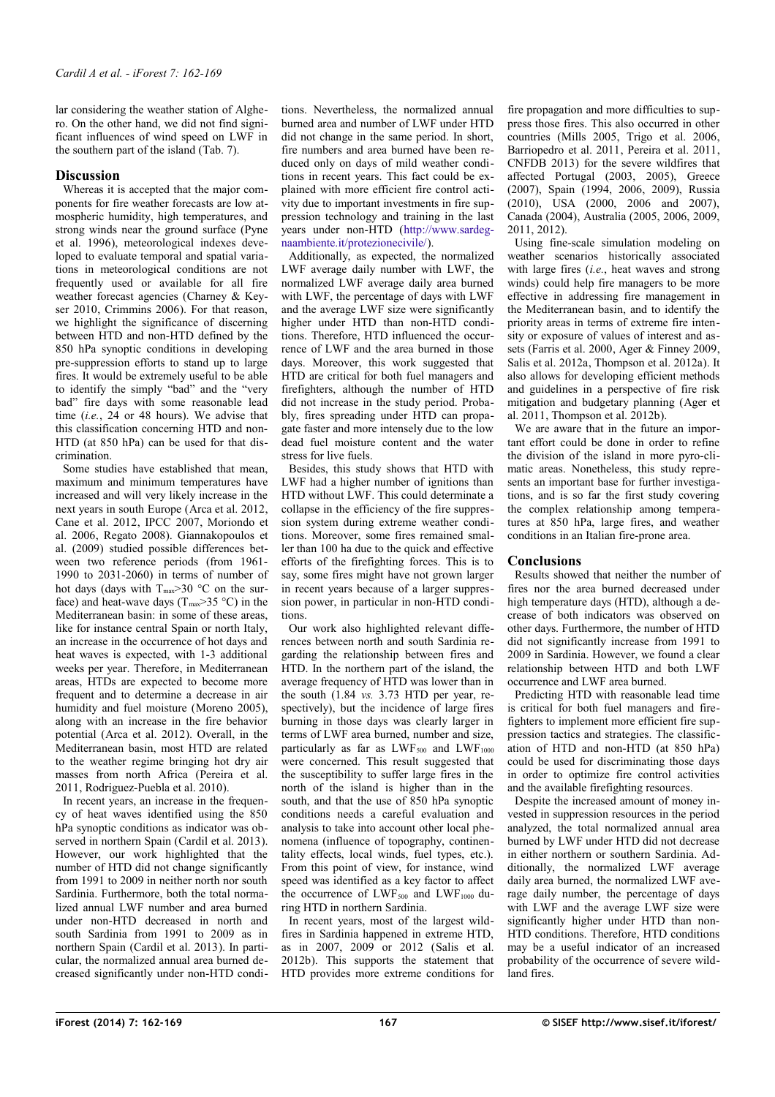lar considering the weather station of Alghero. On the other hand, we did not find significant influences of wind speed on LWF in the southern part of the island [\(Tab. 7\)](#page-4-3).

## **Discussion**

Whereas it is accepted that the major components for fire weather forecasts are low atmospheric humidity, high temperatures, and strong winds near the ground surface (Pyne et al. 1996), meteorological indexes developed to evaluate temporal and spatial variations in meteorological conditions are not frequently used or available for all fire weather forecast agencies (Charney & Keyser 2010, Crimmins 2006). For that reason, we highlight the significance of discerning between HTD and non-HTD defined by the 850 hPa synoptic conditions in developing pre-suppression efforts to stand up to large fires. It would be extremely useful to be able to identify the simply "bad" and the "very bad" fire days with some reasonable lead time (*i.e.*, 24 or 48 hours). We advise that this classification concerning HTD and non-HTD (at 850 hPa) can be used for that discrimination.

Some studies have established that mean, maximum and minimum temperatures have increased and will very likely increase in the next years in south Europe (Arca et al. 2012, Cane et al. 2012, IPCC 2007, Moriondo et al. 2006, Regato 2008). Giannakopoulos et al. (2009) studied possible differences between two reference periods (from 1961- 1990 to 2031-2060) in terms of number of hot days (days with  $T_{\text{max}} > 30$  °C on the surface) and heat-wave days  $(T_{\text{max}} > 35 \text{ °C})$  in the Mediterranean basin: in some of these areas, like for instance central Spain or north Italy, an increase in the occurrence of hot days and heat waves is expected, with 1-3 additional weeks per year. Therefore, in Mediterranean areas, HTDs are expected to become more frequent and to determine a decrease in air humidity and fuel moisture (Moreno 2005), along with an increase in the fire behavior potential (Arca et al. 2012). Overall, in the Mediterranean basin, most HTD are related to the weather regime bringing hot dry air masses from north Africa (Pereira et al. 2011, Rodriguez-Puebla et al. 2010).

In recent years, an increase in the frequency of heat waves identified using the 850 hPa synoptic conditions as indicator was observed in northern Spain (Cardil et al. 2013). However, our work highlighted that the number of HTD did not change significantly from 1991 to 2009 in neither north nor south Sardinia. Furthermore, both the total normalized annual LWF number and area burned under non-HTD decreased in north and south Sardinia from 1991 to 2009 as in northern Spain (Cardil et al. 2013). In particular, the normalized annual area burned decreased significantly under non-HTD conditions. Nevertheless, the normalized annual burned area and number of LWF under HTD did not change in the same period. In short, fire numbers and area burned have been reduced only on days of mild weather conditions in recent years. This fact could be explained with more efficient fire control activity due to important investments in fire suppression technology and training in the last years under non-HTD [\(http://www.sardeg](http://www.sardegnaambiente.it/protezionecivile/)[naambiente.it/protezionecivile/\)](http://www.sardegnaambiente.it/protezionecivile/).

Additionally, as expected, the normalized LWF average daily number with LWF, the normalized LWF average daily area burned with LWF, the percentage of days with LWF and the average LWF size were significantly higher under HTD than non-HTD conditions. Therefore, HTD influenced the occurrence of LWF and the area burned in those days. Moreover, this work suggested that HTD are critical for both fuel managers and firefighters, although the number of HTD did not increase in the study period. Probably, fires spreading under HTD can propagate faster and more intensely due to the low dead fuel moisture content and the water stress for live fuels.

Besides, this study shows that HTD with LWF had a higher number of ignitions than HTD without LWF. This could determinate a collapse in the efficiency of the fire suppression system during extreme weather conditions. Moreover, some fires remained smaller than 100 ha due to the quick and effective efforts of the firefighting forces. This is to say, some fires might have not grown larger in recent years because of a larger suppression power, in particular in non-HTD conditions.

Our work also highlighted relevant differences between north and south Sardinia regarding the relationship between fires and HTD. In the northern part of the island, the average frequency of HTD was lower than in the south (1.84 *vs.* 3.73 HTD per year, respectively), but the incidence of large fires burning in those days was clearly larger in terms of LWF area burned, number and size, particularly as far as  $LWF_{500}$  and  $LWF_{1000}$ were concerned. This result suggested that the susceptibility to suffer large fires in the north of the island is higher than in the south, and that the use of 850 hPa synoptic conditions needs a careful evaluation and analysis to take into account other local phenomena (influence of topography, continentality effects, local winds, fuel types, etc.). From this point of view, for instance, wind speed was identified as a key factor to affect the occurrence of  $LWF<sub>500</sub>$  and  $LWF<sub>1000</sub>$  during HTD in northern Sardinia.

In recent years, most of the largest wildfires in Sardinia happened in extreme HTD, as in 2007, 2009 or 2012 (Salis et al. 2012b). This supports the statement that HTD provides more extreme conditions for fire propagation and more difficulties to suppress those fires. This also occurred in other countries (Mills 2005, Trigo et al. 2006, Barriopedro et al. 2011, Pereira et al. 2011, CNFDB 2013) for the severe wildfires that affected Portugal (2003, 2005), Greece (2007), Spain (1994, 2006, 2009), Russia (2010), USA (2000, 2006 and 2007), Canada (2004), Australia (2005, 2006, 2009, 2011, 2012).

Using fine-scale simulation modeling on weather scenarios historically associated with large fires (*i.e.*, heat waves and strong winds) could help fire managers to be more effective in addressing fire management in the Mediterranean basin, and to identify the priority areas in terms of extreme fire intensity or exposure of values of interest and assets (Farris et al. 2000, Ager & Finney 2009, Salis et al. 2012a, Thompson et al. 2012a). It also allows for developing efficient methods and guidelines in a perspective of fire risk mitigation and budgetary planning (Ager et al. 2011, Thompson et al. 2012b).

We are aware that in the future an important effort could be done in order to refine the division of the island in more pyro-climatic areas. Nonetheless, this study represents an important base for further investigations, and is so far the first study covering the complex relationship among temperatures at 850 hPa, large fires, and weather conditions in an Italian fire-prone area.

## **Conclusions**

Results showed that neither the number of fires nor the area burned decreased under high temperature days (HTD), although a decrease of both indicators was observed on other days. Furthermore, the number of HTD did not significantly increase from 1991 to 2009 in Sardinia. However, we found a clear relationship between HTD and both LWF occurrence and LWF area burned.

Predicting HTD with reasonable lead time is critical for both fuel managers and firefighters to implement more efficient fire suppression tactics and strategies. The classification of HTD and non-HTD (at 850 hPa) could be used for discriminating those days in order to optimize fire control activities and the available firefighting resources.

Despite the increased amount of money invested in suppression resources in the period analyzed, the total normalized annual area burned by LWF under HTD did not decrease in either northern or southern Sardinia. Additionally, the normalized LWF average daily area burned, the normalized LWF average daily number, the percentage of days with LWF and the average LWF size were significantly higher under HTD than non-HTD conditions. Therefore, HTD conditions may be a useful indicator of an increased probability of the occurrence of severe wildland fires.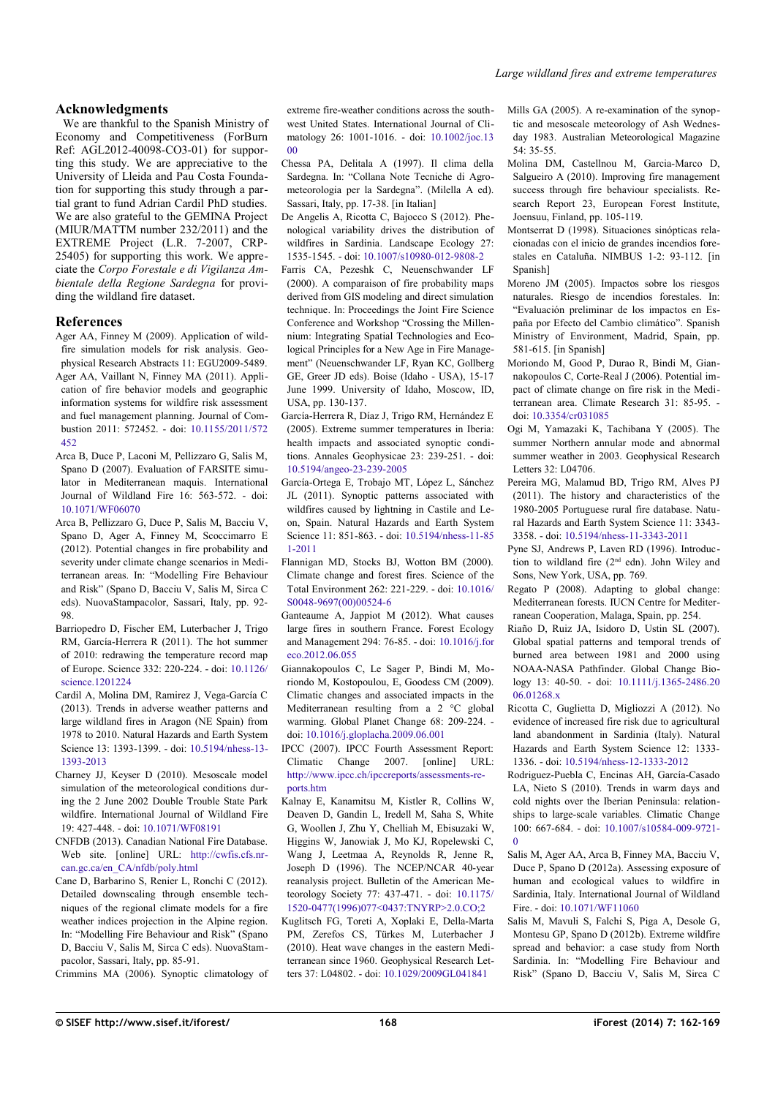#### **Acknowledgments**

We are thankful to the Spanish Ministry of Economy and Competitiveness (ForBurn Ref: AGL2012-40098-CO3-01) for supporting this study. We are appreciative to the University of Lleida and Pau Costa Foundation for supporting this study through a partial grant to fund Adrian Cardil PhD studies. We are also grateful to the GEMINA Project (MIUR/MATTM number 232/2011) and the EXTREME Project (L.R. 7-2007, CRP-25405) for supporting this work. We appreciate the *Corpo Forestale e di Vigilanza Ambientale della Regione Sardegna* for providing the wildland fire dataset.

#### **References**

- Ager AA, Finney M (2009). Application of wildfire simulation models for risk analysis. Geophysical Research Abstracts 11: EGU2009-5489. Ager AA, Vaillant N, Finney MA (2011). Application of fire behavior models and geographic information systems for wildfire risk assessment and fuel management planning. Journal of Combustion 2011: 572452. - doi: [10.1155/2011/572](http://dx.doi.org/10.1155/2011/572452) [452](http://dx.doi.org/10.1155/2011/572452)
- Arca B, Duce P, Laconi M, Pellizzaro G, Salis M, Spano D (2007). Evaluation of FARSITE simulator in Mediterranean maquis. International Journal of Wildland Fire 16: 563-572. - doi: [10.1071/WF06070](http://dx.doi.org/10.1071/WF06070)
- Arca B, Pellizzaro G, Duce P, Salis M, Bacciu V, Spano D, Ager A, Finney M, Scoccimarro E (2012). Potential changes in fire probability and severity under climate change scenarios in Mediterranean areas. In: "Modelling Fire Behaviour and Risk" (Spano D, Bacciu V, Salis M, Sirca C eds). NuovaStampacolor, Sassari, Italy, pp. 92- 98.
- Barriopedro D, Fischer EM, Luterbacher J, Trigo RM, García-Herrera R (2011). The hot summer of 2010: redrawing the temperature record map of Europe. Science 332: 220-224. - doi: [10.1126/](http://dx.doi.org/10.1126/science.1201224) [science.1201224](http://dx.doi.org/10.1126/science.1201224)
- Cardil A, Molina DM, Ramirez J, Vega-García C (2013). Trends in adverse weather patterns and large wildland fires in Aragon (NE Spain) from 1978 to 2010. Natural Hazards and Earth System Science 13: 1393-1399. - doi: [10.5194/nhess-13-](http://dx.doi.org/10.5194/nhess-13-1393-2013) [1393-2013](http://dx.doi.org/10.5194/nhess-13-1393-2013)
- Charney JJ, Keyser D (2010). Mesoscale model simulation of the meteorological conditions during the 2 June 2002 Double Trouble State Park wildfire. International Journal of Wildland Fire 19: 427-448. - doi: [10.1071/WF08191](http://dx.doi.org/10.1071/WF08191)
- CNFDB (2013). Canadian National Fire Database. Web site. [online] URL: [http://cwfis.cfs.nr](http://cwfis.cfs.nrcan.gc.ca/en_CA/nfdb/poly.html)[can.gc.ca/en\\_CA/nfdb/poly.html](http://cwfis.cfs.nrcan.gc.ca/en_CA/nfdb/poly.html)
- Cane D, Barbarino S, Renier L, Ronchi C (2012). Detailed downscaling through ensemble techniques of the regional climate models for a fire weather indices projection in the Alpine region. In: "Modelling Fire Behaviour and Risk" (Spano D, Bacciu V, Salis M, Sirca C eds). NuovaStampacolor, Sassari, Italy, pp. 85-91.

Crimmins MA (2006). Synoptic climatology of

extreme fire-weather conditions across the southwest United States. International Journal of Climatology 26: 1001-1016. - doi: [10.1002/joc.13](http://dx.doi.org/10.1002/joc.1300) [00](http://dx.doi.org/10.1002/joc.1300)

- Chessa PA, Delitala A (1997). Il clima della Sardegna. In: "Collana Note Tecniche di Agrometeorologia per la Sardegna". (Milella A ed). Sassari, Italy, pp. 17-38. [in Italian]
- De Angelis A, Ricotta C, Bajocco S (2012). Phenological variability drives the distribution of wildfires in Sardinia. Landscape Ecology 27: 1535-1545. - doi: [10.1007/s10980-012-9808-2](http://dx.doi.org/10.1007/s10980-012-9808-2)
- Farris CA, Pezeshk C, Neuenschwander LF (2000). A comparaison of fire probability maps derived from GIS modeling and direct simulation technique. In: Proceedings the Joint Fire Science Conference and Workshop "Crossing the Millennium: Integrating Spatial Technologies and Ecological Principles for a New Age in Fire Management" (Neuenschwander LF, Ryan KC, Gollberg GE, Greer JD eds). Boise (Idaho - USA), 15-17 June 1999. University of Idaho, Moscow, ID, USA, pp. 130-137.
- García-Herrera R, Díaz J, Trigo RM, Hernández E (2005). Extreme summer temperatures in Iberia: health impacts and associated synoptic conditions. Annales Geophysicae 23: 239-251. - doi: [10.5194/angeo-23-239-2005](http://dx.doi.org/10.5194/angeo-23-239-2005)
- García-Ortega E, Trobajo MT, López L, Sánchez JL (2011). Synoptic patterns associated with wildfires caused by lightning in Castile and Leon, Spain. Natural Hazards and Earth System Science 11: 851-863. - doi: [10.5194/nhess-11-85](http://dx.doi.org/10.5194/nhess-11-851-2011) [1-2011](http://dx.doi.org/10.5194/nhess-11-851-2011)
- Flannigan MD, Stocks BJ, Wotton BM (2000). Climate change and forest fires. Science of the Total Environment 262: 221-229. - doi: [10.1016/](http://dx.doi.org/10.1016/S0048-9697(00)00524-6) [S0048-9697\(00\)00524-6](http://dx.doi.org/10.1016/S0048-9697(00)00524-6)
- Ganteaume A, Jappiot M (2012). What causes large fires in southern France. Forest Ecology and Management 294: 76-85. - doi: [10.1016/j.for](http://dx.doi.org/10.1016/j.foreco.2012.06.055) [eco.2012.06.055](http://dx.doi.org/10.1016/j.foreco.2012.06.055)
- Giannakopoulos C, Le Sager P, Bindi M, Moriondo M, Kostopoulou, E, Goodess CM (2009). Climatic changes and associated impacts in the Mediterranean resulting from a 2 °C global warming. Global Planet Change 68: 209-224. doi: [10.1016/j.gloplacha.2009.06.001](http://dx.doi.org/10.1016/j.gloplacha.2009.06.001)
- IPCC (2007). IPCC Fourth Assessment Report: Climatic Change 2007. [online] URL: [http://www.ipcc.ch/ipccreports/assessments-re](http://www.ipcc.ch/ipccreports/assessments-reports.htm)[ports.htm](http://www.ipcc.ch/ipccreports/assessments-reports.htm)
- Kalnay E, Kanamitsu M, Kistler R, Collins W, Deaven D, Gandin L, Iredell M, Saha S, White G, Woollen J, Zhu Y, Chelliah M, Ebisuzaki W, Higgins W, Janowiak J, Mo KJ, Ropelewski C, Wang J, Leetmaa A, Reynolds R, Jenne R, Joseph D (1996). The NCEP/NCAR 40-year reanalysis project. Bulletin of the American Meteorology Society 77: 437-471. - doi: [10.1175/](http://dx.doi.org/10.1175/1520-0477(1996)077%3C0437:TNYRP%3E2.0.CO;2) [1520-0477\(1996\)077<0437:TNYRP>2.0.CO;2](http://dx.doi.org/10.1175/1520-0477(1996)077%3C0437:TNYRP%3E2.0.CO;2)
- Kuglitsch FG, Toreti A, Xoplaki E, Della-Marta PM, Zerefos CS, Türkes M, Luterbacher J (2010). Heat wave changes in the eastern Mediterranean since 1960. Geophysical Research Letters 37: L04802. - doi: [10.1029/2009GL041841](http://dx.doi.org/10.1029/2009GL041841)

Mills GA (2005). A re-examination of the synoptic and mesoscale meteorology of Ash Wednesday 1983. Australian Meteorological Magazine 54: 35-55.

- Molina DM, Castellnou M, Garcia-Marco D, Salgueiro A (2010). Improving fire management success through fire behaviour specialists. Research Report 23, European Forest Institute, Joensuu, Finland, pp. 105-119.
- Montserrat D (1998). Situaciones sinópticas relacionadas con el inicio de grandes incendios forestales en Cataluña. NIMBUS 1-2: 93-112. [in Spanish]
- Moreno JM (2005). Impactos sobre los riesgos naturales. Riesgo de incendios forestales. In: "Evaluación preliminar de los impactos en España por Efecto del Cambio climático". Spanish Ministry of Environment, Madrid, Spain, pp. 581-615. [in Spanish]
- Moriondo M, Good P, Durao R, Bindi M, Giannakopoulos C, Corte-Real J (2006). Potential impact of climate change on fire risk in the Mediterranean area. Climate Research 31: 85-95. doi: [10.3354/cr031085](http://dx.doi.org/10.3354/cr031085)
- Ogi M, Yamazaki K, Tachibana Y (2005). The summer Northern annular mode and abnormal summer weather in 2003. Geophysical Research Letters 32: L04706.
- Pereira MG, Malamud BD, Trigo RM, Alves PJ (2011). The history and characteristics of the 1980-2005 Portuguese rural fire database. Natural Hazards and Earth System Science 11: 3343- 3358. - doi: [10.5194/nhess-11-3343-2011](http://dx.doi.org/10.5194/nhess-11-3343-2011)
- Pyne SJ, Andrews P, Laven RD (1996). Introduction to wildland fire (2nd edn). John Wiley and Sons, New York, USA, pp. 769.
- Regato P (2008). Adapting to global change: Mediterranean forests. IUCN Centre for Mediterranean Cooperation, Malaga, Spain, pp. 254.
- Riaño D, Ruiz JA, Isidoro D, Ustin SL (2007). Global spatial patterns and temporal trends of burned area between 1981 and 2000 using NOAA-NASA Pathfinder. Global Change Biology 13: 40-50. - doi: [10.1111/j.1365-2486.20](http://dx.doi.org/10.1111/j.1365-2486.2006.01268.x) 06.01268 x
- Ricotta C, Guglietta D, Migliozzi A (2012). No evidence of increased fire risk due to agricultural land abandonment in Sardinia (Italy). Natural Hazards and Earth System Science 12: 1333- 1336. - doi: [10.5194/nhess-12-1333-2012](http://dx.doi.org/10.5194/nhess-12-1333-2012)
- Rodriguez-Puebla C, Encinas AH, García-Casado LA, Nieto S (2010). Trends in warm days and cold nights over the Iberian Peninsula: relationships to large-scale variables. Climatic Change 100: 667-684. - doi: [10.1007/s10584-009-9721-](http://dx.doi.org/10.1007/s10584-009-9721-0) [0](http://dx.doi.org/10.1007/s10584-009-9721-0)
- Salis M, Ager AA, Arca B, Finney MA, Bacciu V, Duce P, Spano D (2012a). Assessing exposure of human and ecological values to wildfire in Sardinia, Italy. International Journal of Wildland Fire. - doi: [10.1071/WF11060](http://dx.doi.org/10.1071/WF11060)
- Salis M, Mavuli S, Falchi S, Piga A, Desole G, Montesu GP, Spano D (2012b). Extreme wildfire spread and behavior: a case study from North Sardinia. In: "Modelling Fire Behaviour and Risk" (Spano D, Bacciu V, Salis M, Sirca C